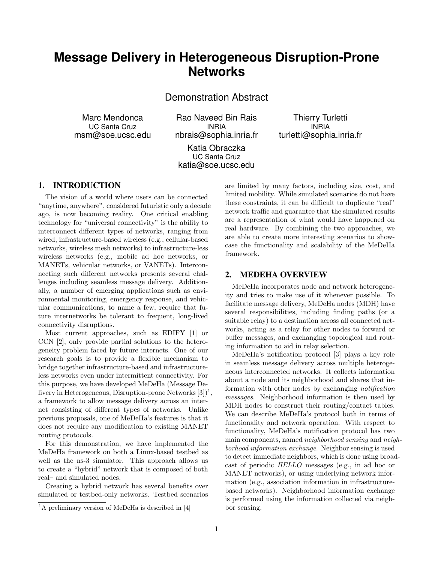# **Message Delivery in Heterogeneous Disruption-Prone Networks**

Demonstration Abstract

Marc Mendonca UC Santa Cruz msm@soe.ucsc.edu

Rao Naveed Bin Rais INRIA nbrais@sophia.inria.fr

Katia Obraczka UC Santa Cruz katia@soe.ucsc.edu

Thierry Turletti INRIA turletti@sophia.inria.fr

# 1. INTRODUCTION

The vision of a world where users can be connected "anytime, anywhere", considered futuristic only a decade ago, is now becoming reality. One critical enabling technology for "universal connectivity" is the ability to interconnect different types of networks, ranging from wired, infrastructure-based wireless (e.g., cellular-based networks, wireless mesh networks) to infrastructure-less wireless networks (e.g., mobile ad hoc networks, or MANETs, vehicular networks, or VANETs). Interconnecting such different networks presents several challenges including seamless message delivery. Additionally, a number of emerging applications such as environmental monitoring, emergency response, and vehicular communications, to name a few, require that future internetworks be tolerant to frequent, long-lived connectivity disruptions.

Most current approaches, such as EDIFY [1] or CCN [2], only provide partial solutions to the heterogeneity problem faced by future internets. One of our research goals is to provide a flexible mechanism to bridge together infrastructure-based and infrastructureless networks even under intermittent connectivity. For this purpose, we have developed MeDeHa (Message Delivery in Heterogeneous, Disruption-prone Networks  $[3]$ <sup>1</sup>, a framework to allow message delivery across an internet consisting of different types of networks. Unlike previous proposals, one of MeDeHa's features is that it does not require any modification to existing MANET routing protocols.

For this demonstration, we have implemented the MeDeHa framework on both a Linux-based testbed as well as the ns-3 simulator. This approach allows us to create a "hybrid" network that is composed of both real– and simulated nodes.

Creating a hybrid network has several benefits over simulated or testbed-only networks. Testbed scenarios are limited by many factors, including size, cost, and limited mobility. While simulated scenarios do not have these constraints, it can be difficult to duplicate "real" network traffic and guarantee that the simulated results are a representation of what would have happened on real hardware. By combining the two approaches, we are able to create more interesting scenarios to showcase the functionality and scalability of the MeDeHa framework.

# 2. MEDEHA OVERVIEW

MeDeHa incorporates node and network heterogeneity and tries to make use of it whenever possible. To facilitate message delivery, MeDeHa nodes (MDH) have several responsibilities, including finding paths (or a suitable relay) to a destination across all connected networks, acting as a relay for other nodes to forward or buffer messages, and exchanging topological and routing information to aid in relay selection.

MeDeHa's notification protocol [3] plays a key role in seamless message delivery across multiple heterogeneous interconnected networks. It collects information about a node and its neighborhood and shares that information with other nodes by exchanging notification messages. Neighborhood information is then used by MDH nodes to construct their routing/contact tables. We can describe MeDeHa's protocol both in terms of functionality and network operation. With respect to functionality, MeDeHa's notification protocol has two main components, named neighborhood sensing and neighborhood information exchange. Neighbor sensing is used to detect immediate neighbors, which is done using broadcast of periodic HELLO messages (e.g., in ad hoc or MANET networks), or using underlying network information (e.g., association information in infrastructurebased networks). Neighborhood information exchange is performed using the information collected via neighbor sensing.

 $1$ <sup>1</sup>A preliminary version of MeDeHa is described in [4]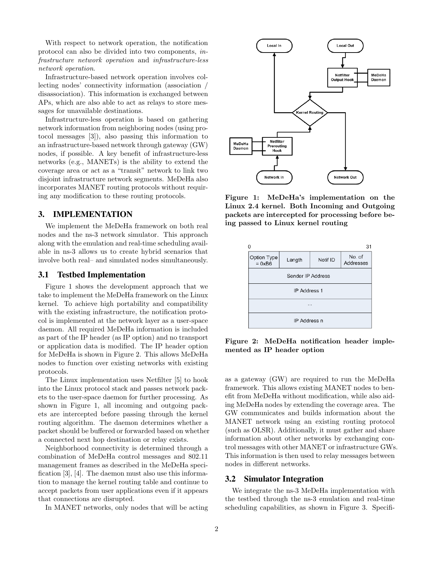With respect to network operation, the notification protocol can also be divided into two components, infrastructure network operation and infrastructure-less network operation.

Infrastructure-based network operation involves collecting nodes' connectivity information (association / disassociation). This information is exchanged between APs, which are also able to act as relays to store messages for unavailable destinations.

Infrastructure-less operation is based on gathering network information from neighboring nodes (using protocol messages [3]), also passing this information to an infrastructure-based network through gateway (GW) nodes, if possible. A key benefit of infrastructure-less networks (e.g., MANETs) is the ability to extend the coverage area or act as a "transit" network to link two disjoint infrastructure network segments. MeDeHa also incorporates MANET routing protocols without requiring any modification to these routing protocols.

## 3. IMPLEMENTATION

We implement the MeDeHa framework on both real nodes and the ns-3 network simulator. This approach along with the emulation and real-time scheduling available in ns-3 allows us to create hybrid scenarios that involve both real– and simulated nodes simultaneously.

#### 3.1 Testbed Implementation

Figure 1 shows the development approach that we take to implement the MeDeHa framework on the Linux kernel. To achieve high portability and compatibility with the existing infrastructure, the notification protocol is implemented at the network layer as a user-space daemon. All required MeDeHa information is included as part of the IP header (as IP option) and no transport or application data is modified. The IP header option for MeDeHa is shown in Figure 2. This allows MeDeHa nodes to function over existing networks with existing protocols.

The Linux implementation uses Netfilter [5] to hook into the Linux protocol stack and passes network packets to the user-space daemon for further processing. As shown in Figure 1, all incoming and outgoing packets are intercepted before passing through the kernel routing algorithm. The daemon determines whether a packet should be buffered or forwarded based on whether a connected next hop destination or relay exists.

Neighborhood connectivity is determined through a combination of MeDeHa control messages and 802.11 management frames as described in the MeDeHa specification [3], [4]. The daemon must also use this information to manage the kernel routing table and continue to accept packets from user applications even if it appears that connections are disrupted.

In MANET networks, only nodes that will be acting



Figure 1: MeDeHa's implementation on the Linux 2.4 kernel. Both Incoming and Outgoing packets are intercepted for processing before being passed to Linux kernel routing



Figure 2: MeDeHa notification header implemented as IP header option

as a gateway (GW) are required to run the MeDeHa framework. This allows existing MANET nodes to benefit from MeDeHa without modification, while also aiding MeDeHa nodes by extending the coverage area. The GW communicates and builds information about the MANET network using an existing routing protocol (such as OLSR). Additionally, it must gather and share information about other networks by exchanging control messages with other MANET or infrastructure GWs. This information is then used to relay messages between nodes in different networks.

#### 3.2 Simulator Integration

We integrate the ns-3 MeDeHa implementation with the testbed through the ns-3 emulation and real-time scheduling capabilities, as shown in Figure 3. Specifi-